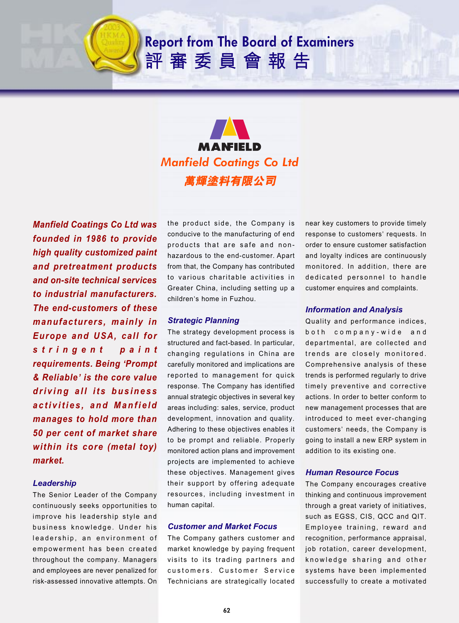## **Report from The Board of Examiners** 評審委員會報告



*Manfield Coatings Co Ltd was founded in 1986 to provide high quality customized paint and pretreatment products and on-site technical services to industrial manufacturers. The end-customers of these manufacturers, mainly in Europe and USA, call for stringent paint requirements. Being* **'***Prompt & Reliable***'** *is the core value driving all its business activities, and Manfield manages to hold more than 50 per cent of market share within its core (metal toy) market.*

### *Leadership*

The Senior Leader of the Company continuously seeks opportunities to improve his leadership style and business knowledge. Under his leadership, an environment of empowerment has been created throughout the company. Managers and employees are never penalized for risk-assessed innovative attempts. On

the product side, the Company is conducive to the manufacturing of end products that are safe and nonhazardous to the end-customer. Apart from that, the Company has contributed to various charitable activities in Greater China, including setting up a children's home in Fuzhou.

#### *Strategic Planning*

The strategy development process is structured and fact-based. In particular, changing regulations in China are carefully monitored and implications are reported to management for quick response. The Company has identified annual strategic objectives in several key areas including: sales, service, product development, innovation and quality. Adhering to these objectives enables it to be prompt and reliable. Properly monitored action plans and improvement projects are implemented to achieve these objectives. Management gives their support by offering adequate resources, including investment in human capital.

#### *Customer and Market Focus*

The Company gathers customer and market knowledge by paying frequent visits to its trading partners and customers. Customer Service Technicians are strategically located

near key customers to provide timely response to customers' requests. In order to ensure customer satisfaction and loyalty indices are continuously monitored. In addition, there are dedicated personnel to handle customer enquires and complaints.

#### *Information and Analysis*

Quality and performance indices, both company-wide and departmental, are collected and trends are closely monitored. Comprehensive analysis of these trends is performed regularly to drive timely preventive and corrective actions. In order to better conform to new management processes that are introduced to meet ever-changing customers' needs, the Company is going to install a new ERP system in addition to its existing one.

#### *Human Resource Focus*

The Company encourages creative thinking and continuous improvement through a great variety of initiatives, such as EGSS, CIS, QCC and QIT. Employee training, reward and recognition, performance appraisal, job rotation, career development, knowledge sharing and other systems have been implemented successfully to create a motivated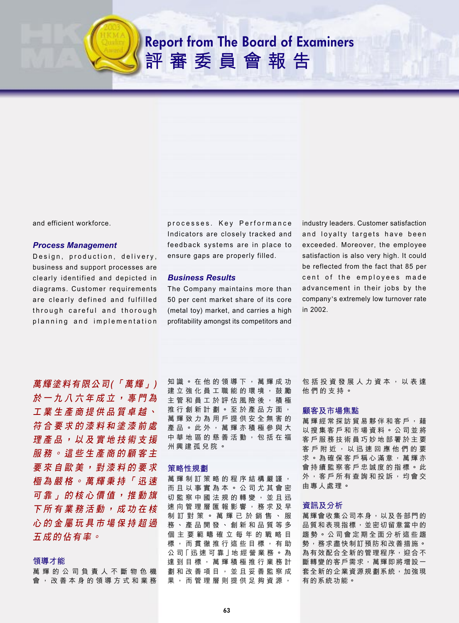## **Report from The Board of Examiners** 評審委員會報告



and efficient workforce.

### **Process Management**

Design, production, delivery, business and support processes are clearly identified and depicted in diagrams. Customer requirements are clearly defined and fulfilled through careful and thorough planning and implementation processes. Key Performance Indicators are closely tracked and feedback systems are in place to ensure gaps are properly filled.

#### **Business Results**

The Company maintains more than 50 per cent market share of its core (metal toy) market, and carries a high profitability amongst its competitors and industry leaders. Customer satisfaction and loyalty targets have been exceeded. Moreover, the employee satisfaction is also very high. It could be reflected from the fact that 85 per cent of the employees made advancement in their jobs by the company's extremely low turnover rate in 2002

萬輝塗料有限公司(「萬輝」) 於一九八六年成立, 事門為 工業生產商提供品質卓越、 符合要求的漆料和塗漆前處 理產品,以及實地技術支援 服務。這些生產商的顧客主 要 來 自 歐 美 , 對 漆 料 的 要 求 **極為嚴格。萬輝秉持「迅速** 可 靠 」 的 核 心 價 值 , 推 動 旗 下 所 有 業 務 活 動 , 成 功 在 核 心的金屬玩具市場保持超過 五成的佔有率。

#### 領導才能

萬輝的公司負責人不斷物色機 會,改善本身的領導方式和業務 知識。在他的領導下,萬輝成功 建立強化員工職能的環境,鼓勵 主管和員工於評估風險後,積極 推行創新計劃。至於產品方面, 萬輝致力為用戶提供安全無害的 產品。此外,萬輝亦積極參與大 中 華 地 區 的 慈 善 活 動 , 包 括 在 福 州興建孤兒院。

#### 策略性規劃

萬輝制訂策略的程序結構嚴謹, 而日以事實為本。公司尤其會密 切監察中國法規的轉變,並且迅 速向管理層匯報影響,務求及早 制訂對策。萬輝已於銷售、服 務、產品開發、創新和品質等多 個主要範疇確立每年的戰略目 標,而貫徹推行這些目標,有助 公司「迅速可靠」地經營業務。為 達 到 目 標 , 萬 輝 積 極 推 行 業 務 計 劃和改善項目,並且妥善監察成 果,而管理層則提供足夠資源,

包括投資發展人力資本,以表達 他們的支持。

#### 顧客及市場焦點

萬 輝 經 常 探 訪 貿 易 夥 伴 和 客 戶 , 藉 以搜集客戶和市場資料。公司並將 客戶服務技術員巧妙地部署於主要 客戶附近,以迅速回應他們的要 求。為確保客戶稱心滿意,萬輝亦 會持續監察客戶忠誠度的指標。此 外,客戶所有查詢和投訴,均會交 由專人處理。

#### 資訊及分析

萬輝會收集公司本身, 以及各部門的 品質和表現指標,並密切留意當中的 趨勢。公司會定期全面分析這些趨 勢,務求盡快制訂預防和改善措施。 為有效配合全新的管理程序, 迎合不 斷轉變的客戶需求,萬輝即將增設一 套全新的企業資源規劃系統,加強現 有的系統功能。